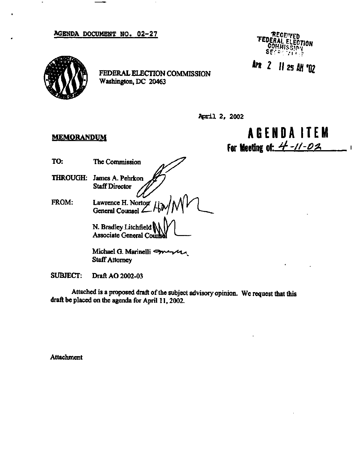**AGENDA DOCUMENT NO. 02-27** RECEIVED



**FEDERAL ELECTION COMMISSION Washington, DC 20463** 



**APR** 2 11 25 AM '02

**April 2, 2002** 

## **MEMORANDUM**

**AGENDA ITE M for Meeting nf-** *4--//-Q&* 

- **TO: The Commission**
- **THROUGH: James A. Pehrkon Staff Director**
- **FROM:** Lawrence H. Norton / **General Counsel**

**N.Bradley Litchfield Associate General Coun** 

**Michael G. Marinelli**  $\rightarrow$ **Staff Attorney** 

**SUBJECT: Draft AO 2002-03** 

**Attached is a proposed draft of the subject advisory opinion. We request that this draft be placed on the agenda for April 11,2002.** 

**Attachment**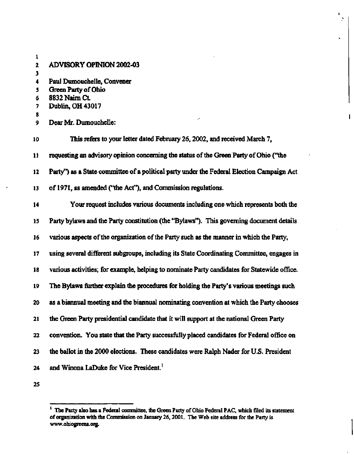| 1  |                                                                                             |
|----|---------------------------------------------------------------------------------------------|
| 2  | <b>ADVISORY OPINION 2002-03</b>                                                             |
| 3  |                                                                                             |
| 4  | Paul Dumouchelle, Convener                                                                  |
| 5  | Green Party of Ohio                                                                         |
| 6  | 8832 Naim Ct.                                                                               |
| 7  | Dublin, OH 43017                                                                            |
| 8  |                                                                                             |
| 9. | Dear Mr. Dumouchelle:                                                                       |
| 10 | This refers to your letter dated February 26, 2002, and received March 7,                   |
| 11 | requesting an advisory opinion concerning the status of the Green Party of Ohio ("the       |
| 12 | Party") as a State committee of a political party under the Federal Election Campaign Act   |
| 13 | of 1971, as amended ("the Act"), and Commission regulations.                                |
| 14 | Your request includes various documents including one which represents both the             |
| 15 | Party bylaws and the Party constitution (the "Bylaws"). This governing document details     |
| 16 | various aspects of the organization of the Party such as the manner in which the Party,     |
| 17 | using several different subgroups, including its State Coordinating Committee, engages in   |
| 18 | various activities; for example, helping to nominate Party candidates for Statewide office. |
| 19 | The Bylaws further explain the procedures for holding the Party's various meetings such     |
| 20 | as a biannual meeting and the biannual nominating convention at which the Party chooses     |
| 21 | the Green Party presidential candidate that it will support at the national Green Party     |
| 22 | convention. You state that the Party successfully placed candidates for Federal office on   |
| 23 | the ballot in the 2000 elections. These candidates were Ralph Nader for U.S. President      |
| 24 | and Winona LaDuke for Vice President. <sup>1</sup>                                          |
| 25 |                                                                                             |

 $\mathbf{I}$ 

**<sup>1</sup> The Party also has a Federal committee, the Green Party of Ohio Federal PAC, which filed its statement of organization with the Commission on January 26,2001. The Web site address for the Party is [www.ohiogreens.org.](http://www.ohiogreens.org)**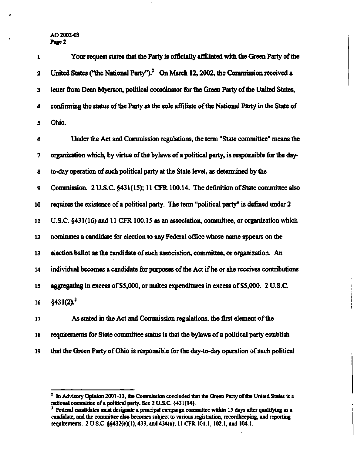## **AO** 2002-03 **Page** 2

| $\mathbf{1}$            | Your request states that the Party is officially affiliated with the Green Party of the         |
|-------------------------|-------------------------------------------------------------------------------------------------|
| $\overline{\mathbf{2}}$ | United States ("the National Party"). <sup>2</sup> On March 12, 2002, the Commission received a |
| 3                       | letter from Dean Myerson, political coordinator for the Green Party of the United States,       |
| 4                       | confirming the status of the Party as the sole affiliate of the National Party in the State of  |
| 5                       | Ohio.                                                                                           |
| 6                       | Under the Act and Commission regulations, the term "State committee" means the                  |
| 7                       | organization which, by virtue of the bylaws of a political party, is responsible for the day-   |
| 8                       | to-day operation of such political party at the State level, as determined by the               |
| 9                       | Commission. 2 U.S.C. §431(15); 11 CFR 100.14. The definition of State committee also            |
| 10                      | requires the existence of a political party. The term "political party" is defined under 2      |
| 11                      | U.S.C. §431(16) and 11 CFR 100.15 as an association, committee, or organization which           |
| 12                      | nominates a candidate for election to any Federal office whose name appears on the              |
| 13                      | election ballot as the candidate of such association, committee, or organization. An            |
| 14                      | individual becomes a candidate for purposes of the Act if he or she receives contributions      |
| 15                      | aggregating in excess of \$5,000, or makes expenditures in excess of \$5,000. 2 U.S.C.          |
| 16                      | §431(2). <sup>3</sup>                                                                           |
| 17                      | As stated in the Act and Commission regulations, the first element of the                       |
| 18                      | requirements for State committee status is that the bylaws of a political party establish       |
| 19                      | that the Green Party of Ohio is responsible for the day-to-day operation of such political      |

I

<sup>&</sup>lt;sup>2</sup> In Advisory Opinion 2001-13, the Commission concluded that the Green Party of the United States is a national committee of a political party. See 2 U.S.C. §431(14).

<sup>&</sup>lt;sup>3</sup> Federal candidates must designate a principal campaign committee within 15 days after qualifying as a candidate, and the committee also becomes subject to various registration, recordkeeping, and reporting requirements. 2 U.S.C. §§432(e)(l), 433, and 434(a); 11 CFR 101.1,102.1, and 104.1.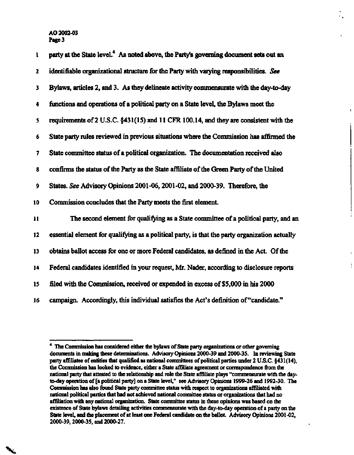AO 2002-03 **Page** 3

**V** 

| ı                       | party at the State level. <sup>4</sup> As noted above, the Party's governing document sets out an |
|-------------------------|---------------------------------------------------------------------------------------------------|
| $\overline{\mathbf{2}}$ | identifiable organizational structure for the Party with varying responsibilities. See            |
| 3                       | Bylaws, articles 2, and 3. As they delineate activity commensurate with the day-to-day            |
| 4                       | functions and operations of a political party on a State level, the Bylaws meet the               |
| 5                       | requirements of 2 U.S.C. §431(15) and 11 CFR 100.14, and they are consistent with the             |
| 6                       | State party rules reviewed in previous situations where the Commission has affirmed the           |
| 7                       | State committee status of a political organization. The documentation received also               |
| 8                       | confirms the status of the Party as the State affiliate of the Green Party of the United          |
| 9                       | States. See Advisory Opinions 2001-06, 2001-02, and 2000-39. Therefore, the                       |
| 10                      | Commission concludes that the Party meets the first element.                                      |
| 11                      | The second element for qualifying as a State committee of a political party, and an               |
| 12                      | essential element for qualifying as a political party, is that the party organization actually    |
| 13                      | obtains ballot access for one or more Federal candidates, as defined in the Act. Of the           |
| 14                      | Federal candidates identified in your request, Mr. Nader, according to disclosure reports         |
| 15                      | filed with the Commission, received or expended in excess of \$5,000 in his 2000                  |
| 16                      | campaign. Accordingly, this individual satisfies the Act's definition of "candidate."             |

ĵ.

<sup>4</sup> The Commission has considered either the bylaws of State party organizations or other governing documents in making these determinations. Advisory Opinions 2000-39 and 2000-35. In reviewing State party affiliates of entities that qualified as national committees of political parties under 2 U.S.C. §431(14), the Commission has looked to evidence, either a State affiliate agreement or correspondence from the national party that attested to the relationship and role the State affiliate plays "commensurate with the dayto-day operation of [a political party] on a State level," see Advisory Opinions 1999-26 and 1992-30. The Commission has also found State party committee status with respect to organizations affiliated with national political parties that had not achieved national committee status or organizations that had no affiliation with any national organization. State committee status in these opinions was based on the existence of State bylaws detailing activities commensurate with the day-to-day operation of a party on the State level, and the placement of at least one Federal candidate on die ballot. Advisory Opinions 2001-02, 2000-39,2000-35, and 2000-27.